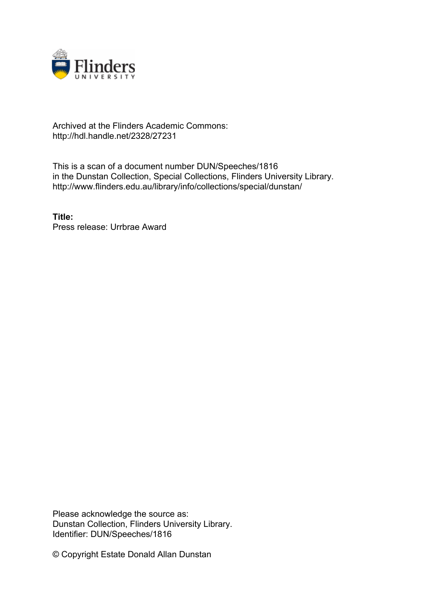

## Archived at the Flinders Academic Commons: http://hdl.handle.net/2328/27231

This is a scan of a document number DUN/Speeches/1816 in the Dunstan Collection, Special Collections, Flinders University Library. http://www.flinders.edu.au/library/info/collections/special/dunstan/

**Title:** Press release: Urrbrae Award

Please acknowledge the source as: Dunstan Collection, Flinders University Library. Identifier: DUN/Speeches/1816

© Copyright Estate Donald Allan Dunstan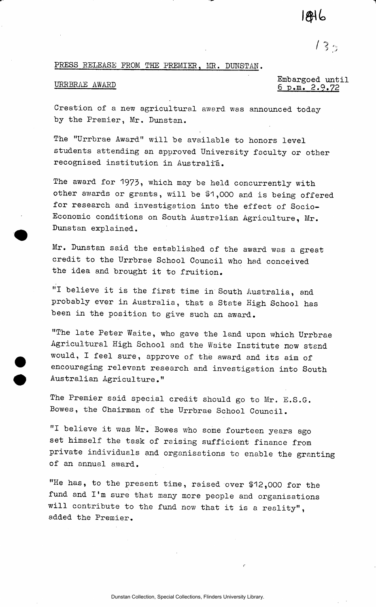# 1846

 $133$ 

### PRESS RELEASE FROM THE PREMIER, MR. DUNSTAN.

Embargoed until<br>
<u>G p.m. 2.9.72</u><br>
C under G under G under G under G under G under G under G under G under G under G under G under G under G under G under G under G under G under G under G under G under G under G under G un

Creation of a new agricultural award was announced today by the Premier, Mr. Dunstan.

The "Urrbrae Award" will be available to honors level students attending an approved University faculty or other recognised institution in Australia.

The award for 1973, which may be held concurrently with other awards or grants, will be \$1,000 and is being offered for research and investigation into the effect of Socio-Economic conditions on South Australian Agriculture, Mr. Dunstan explained.

Mr. Dunstan said the established of the award was a great credit to the Urrbrae School Council who had conceived the idea and brought it to fruition.

"I believe it is the first time in South Australia, and probably ever in Australia, that a State High School has been in the position to give such an award.

"The late Peter Waite, who gave the land upon which Urrbrae Agricultural High School and the Waite Institute now stand would, I feel sure, approve of the award and its aim of encouraging relevant research and investigation into South Australian Agriculture."

The Premier said special credit should go to Mr. E.S.G. Bowes, the Chairman of the Urrbrae School Council.

"I believe it was Mr. Bowes who some fourteen years ago set himself the task of raising sufficient finance from private individuals and organisations to enable the granting of an annual award.

"He has, to the present time, raised over \$12,000 for the fund and I'm sure that many more people and organisations will contribute to the fund now that it is a reality", added the Premier.